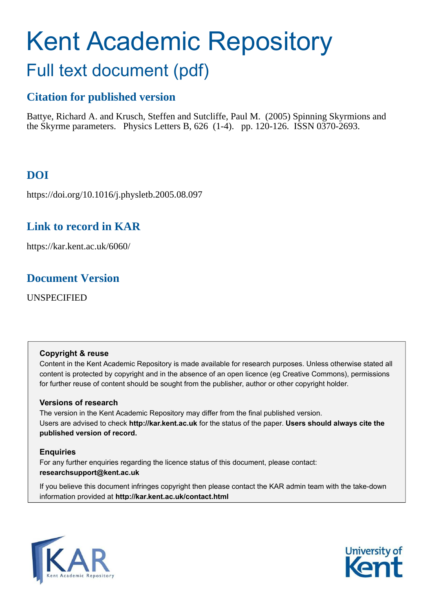# Kent Academic Repository Full text document (pdf)

## **Citation for published version**

Battye, Richard A. and Krusch, Steffen and Sutcliffe, Paul M. (2005) Spinning Skyrmions and the Skyrme parameters. Physics Letters B, 626 (1-4). pp. 120-126. ISSN 0370-2693.

# **DOI**

https://doi.org/10.1016/j.physletb.2005.08.097

## **Link to record in KAR**

https://kar.kent.ac.uk/6060/

## **Document Version**

UNSPECIFIED

#### **Copyright & reuse**

Content in the Kent Academic Repository is made available for research purposes. Unless otherwise stated all content is protected by copyright and in the absence of an open licence (eg Creative Commons), permissions for further reuse of content should be sought from the publisher, author or other copyright holder.

#### **Versions of research**

The version in the Kent Academic Repository may differ from the final published version. Users are advised to check **http://kar.kent.ac.uk** for the status of the paper. **Users should always cite the published version of record.**

#### **Enquiries**

For any further enquiries regarding the licence status of this document, please contact: **researchsupport@kent.ac.uk**

If you believe this document infringes copyright then please contact the KAR admin team with the take-down information provided at **http://kar.kent.ac.uk/contact.html**



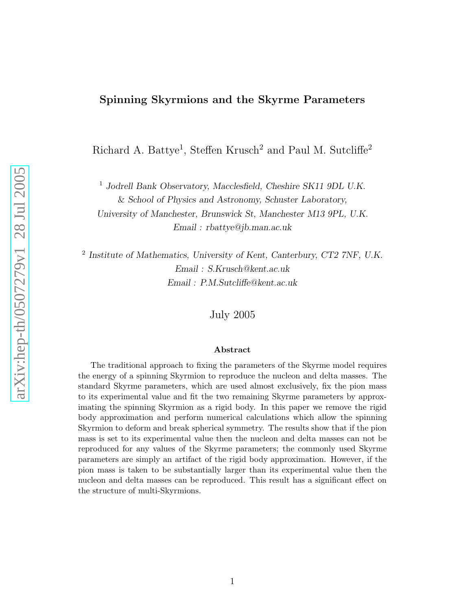#### Spinning Skyrmions and the Skyrme Parameters

Richard A. Battye<sup>1</sup>, Steffen Krusch<sup>2</sup> and Paul M. Sutcliffe<sup>2</sup>

<sup>1</sup> Jodrell Bank Observatory, Macclesfield, Cheshire SK11 9DL U.K. & School of Physics and Astronomy, Schuster Laboratory,

University of Manchester, Brunswick St, Manchester M13 9PL, U.K. Email : rbattye@jb.man.ac.uk

2 Institute of Mathematics, University of Kent, Canterbury, CT2 7NF, U.K. Email : S.Krusch@kent.ac.uk Email : P.M.Sutcliffe@kent.ac.uk

July 2005

#### Abstract

The traditional approach to fixing the parameters of the Skyrme model requires the energy of a spinning Skyrmion to reproduce the nucleon and delta masses. The standard Skyrme parameters, which are used almost exclusively, fix the pion mass to its experimental value and fit the two remaining Skyrme parameters by approximating the spinning Skyrmion as a rigid body. In this paper we remove the rigid body approximation and perform numerical calculations which allow the spinning Skyrmion to deform and break spherical symmetry. The results show that if the pion mass is set to its experimental value then the nucleon and delta masses can not be reproduced for any values of the Skyrme parameters; the commonly used Skyrme parameters are simply an artifact of the rigid body approximation. However, if the pion mass is taken to be substantially larger than its experimental value then the nucleon and delta masses can be reproduced. This result has a significant effect on the structure of multi-Skyrmions.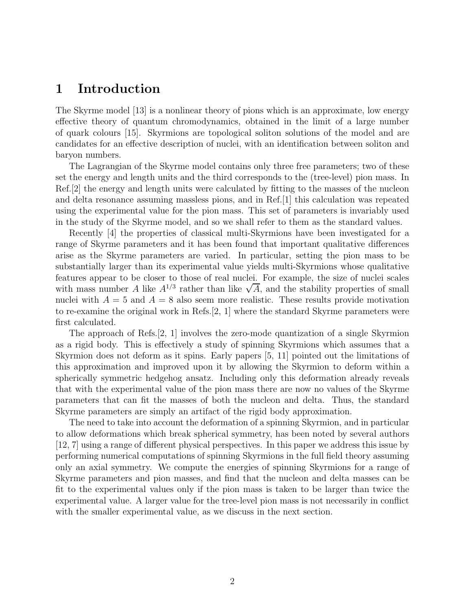### 1 Introduction

The Skyrme model [13] is a nonlinear theory of pions which is an approximate, low energy effective theory of quantum chromodynamics, obtained in the limit of a large number of quark colours [15]. Skyrmions are topological soliton solutions of the model and are candidates for an effective description of nuclei, with an identification between soliton and baryon numbers.

The Lagrangian of the Skyrme model contains only three free parameters; two of these set the energy and length units and the third corresponds to the (tree-level) pion mass. In Ref.[2] the energy and length units were calculated by fitting to the masses of the nucleon and delta resonance assuming massless pions, and in Ref.[1] this calculation was repeated using the experimental value for the pion mass. This set of parameters is invariably used in the study of the Skyrme model, and so we shall refer to them as the standard values.

Recently [4] the properties of classical multi-Skyrmions have been investigated for a range of Skyrme parameters and it has been found that important qualitative differences arise as the Skyrme parameters are varied. In particular, setting the pion mass to be substantially larger than its experimental value yields multi-Skyrmions whose qualitative features appear to be closer to those of real nuclei. For example, the size of nuclei scales with mass number A like  $A^{1/3}$  rather than like  $\sqrt{A}$ , and the stability properties of small nuclei with  $A = 5$  and  $A = 8$  also seem more realistic. These results provide motivation to re-examine the original work in Refs.[2, 1] where the standard Skyrme parameters were first calculated.

The approach of Refs.[2, 1] involves the zero-mode quantization of a single Skyrmion as a rigid body. This is effectively a study of spinning Skyrmions which assumes that a Skyrmion does not deform as it spins. Early papers [5, 11] pointed out the limitations of this approximation and improved upon it by allowing the Skyrmion to deform within a spherically symmetric hedgehog ansatz. Including only this deformation already reveals that with the experimental value of the pion mass there are now no values of the Skyrme parameters that can fit the masses of both the nucleon and delta. Thus, the standard Skyrme parameters are simply an artifact of the rigid body approximation.

The need to take into account the deformation of a spinning Skyrmion, and in particular to allow deformations which break spherical symmetry, has been noted by several authors [12, 7] using a range of different physical perspectives. In this paper we address this issue by performing numerical computations of spinning Skyrmions in the full field theory assuming only an axial symmetry. We compute the energies of spinning Skyrmions for a range of Skyrme parameters and pion masses, and find that the nucleon and delta masses can be fit to the experimental values only if the pion mass is taken to be larger than twice the experimental value. A larger value for the tree-level pion mass is not necessarily in conflict with the smaller experimental value, as we discuss in the next section.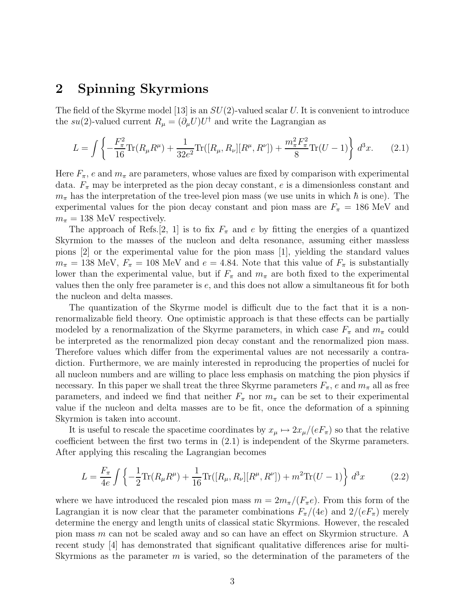#### 2 Spinning Skyrmions

The field of the Skyrme model [13] is an  $SU(2)$ -valued scalar U. It is convenient to introduce the su(2)-valued current  $R_{\mu} = (\partial_{\mu}U)U^{\dagger}$  and write the Lagrangian as

$$
L = \int \left\{ -\frac{F_{\pi}^2}{16} \text{Tr}(R_{\mu} R^{\mu}) + \frac{1}{32e^2} \text{Tr}([R_{\mu}, R_{\nu}][R^{\mu}, R^{\nu}]) + \frac{m_{\pi}^2 F_{\pi}^2}{8} \text{Tr}(U - 1) \right\} d^3x.
$$
 (2.1)

Here  $F_{\pi}$ , e and  $m_{\pi}$  are parameters, whose values are fixed by comparison with experimental data.  $F_{\pi}$  may be interpreted as the pion decay constant, e is a dimensionless constant and  $m_{\pi}$  has the interpretation of the tree-level pion mass (we use units in which  $\hbar$  is one). The experimental values for the pion decay constant and pion mass are  $F_{\pi} = 186$  MeV and  $m_{\pi} = 138$  MeV respectively.

The approach of Refs. [2, 1] is to fix  $F_{\pi}$  and e by fitting the energies of a quantized Skyrmion to the masses of the nucleon and delta resonance, assuming either massless pions [2] or the experimental value for the pion mass [1], yielding the standard values  $m_{\pi} = 138$  MeV,  $F_{\pi} = 108$  MeV and  $e = 4.84$ . Note that this value of  $F_{\pi}$  is substantially lower than the experimental value, but if  $F_{\pi}$  and  $m_{\pi}$  are both fixed to the experimental values then the only free parameter is e, and this does not allow a simultaneous fit for both the nucleon and delta masses.

The quantization of the Skyrme model is difficult due to the fact that it is a nonrenormalizable field theory. One optimistic approach is that these effects can be partially modeled by a renormalization of the Skyrme parameters, in which case  $F_{\pi}$  and  $m_{\pi}$  could be interpreted as the renormalized pion decay constant and the renormalized pion mass. Therefore values which differ from the experimental values are not necessarily a contradiction. Furthermore, we are mainly interested in reproducing the properties of nuclei for all nucleon numbers and are willing to place less emphasis on matching the pion physics if necessary. In this paper we shall treat the three Skyrme parameters  $F_{\pi}$ , e and  $m_{\pi}$  all as free parameters, and indeed we find that neither  $F_{\pi}$  nor  $m_{\pi}$  can be set to their experimental value if the nucleon and delta masses are to be fit, once the deformation of a spinning Skyrmion is taken into account.

It is useful to rescale the spacetime coordinates by  $x_{\mu} \mapsto 2x_{\mu}/(eF_{\pi})$  so that the relative coefficient between the first two terms in (2.1) is independent of the Skyrme parameters. After applying this rescaling the Lagrangian becomes

$$
L = \frac{F_{\pi}}{4e} \int \left\{ -\frac{1}{2} \text{Tr}(R_{\mu} R^{\mu}) + \frac{1}{16} \text{Tr}([R_{\mu}, R_{\nu}][R^{\mu}, R^{\nu}]) + m^2 \text{Tr}(U - 1) \right\} d^3x \tag{2.2}
$$

where we have introduced the rescaled pion mass  $m = 2m_\pi/(F_\pi e)$ . From this form of the Lagrangian it is now clear that the parameter combinations  $F_{\pi}/(4e)$  and  $2/(eF_{\pi})$  merely determine the energy and length units of classical static Skyrmions. However, the rescaled pion mass m can not be scaled away and so can have an effect on Skyrmion structure. A recent study [4] has demonstrated that significant qualitative differences arise for multi-Skyrmions as the parameter  $m$  is varied, so the determination of the parameters of the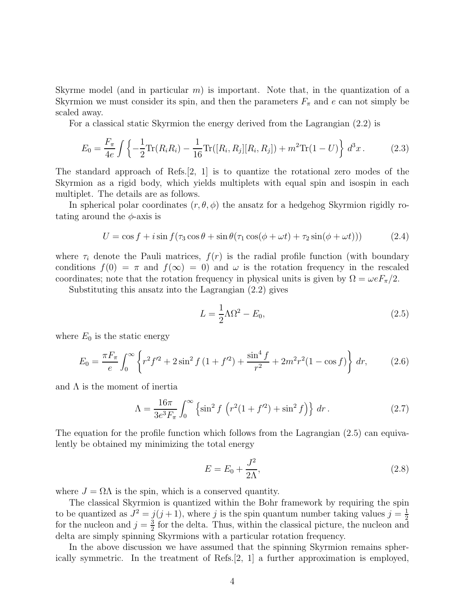Skyrme model (and in particular  $m$ ) is important. Note that, in the quantization of a Skyrmion we must consider its spin, and then the parameters  $F_{\pi}$  and e can not simply be scaled away.

For a classical static Skyrmion the energy derived from the Lagrangian (2.2) is

$$
E_0 = \frac{F_\pi}{4e} \int \left\{ -\frac{1}{2} \text{Tr}(R_i R_i) - \frac{1}{16} \text{Tr}([R_i, R_j][R_i, R_j]) + m^2 \text{Tr}(1 - U) \right\} d^3 x \,. \tag{2.3}
$$

The standard approach of Refs.  $[2, 1]$  is to quantize the rotational zero modes of the Skyrmion as a rigid body, which yields multiplets with equal spin and isospin in each multiplet. The details are as follows.

In spherical polar coordinates  $(r, \theta, \phi)$  the ansatz for a hedgehog Skyrmion rigidly rotating around the  $\phi$ -axis is

$$
U = \cos f + i \sin f(\tau_3 \cos \theta + \sin \theta (\tau_1 \cos(\phi + \omega t) + \tau_2 \sin(\phi + \omega t))) \tag{2.4}
$$

where  $\tau_i$  denote the Pauli matrices,  $f(r)$  is the radial profile function (with boundary conditions  $f(0) = \pi$  and  $f(\infty) = 0$ ) and  $\omega$  is the rotation frequency in the rescaled coordinates; note that the rotation frequency in physical units is given by  $\Omega = \omega e F_{\pi}/2$ .

Substituting this ansatz into the Lagrangian (2.2) gives

$$
L = \frac{1}{2}\Lambda\Omega^2 - E_0,\tag{2.5}
$$

where  $E_0$  is the static energy

$$
E_0 = \frac{\pi F_\pi}{e} \int_0^\infty \left\{ r^2 f'^2 + 2\sin^2 f \left( 1 + f'^2 \right) + \frac{\sin^4 f}{r^2} + 2m^2 r^2 (1 - \cos f) \right\} dr,\tag{2.6}
$$

and  $\Lambda$  is the moment of inertia

$$
\Lambda = \frac{16\pi}{3e^3 F_\pi} \int_0^\infty \left\{ \sin^2 f \left( r^2 (1 + f^2) + \sin^2 f \right) \right\} dr \,. \tag{2.7}
$$

The equation for the profile function which follows from the Lagrangian (2.5) can equivalently be obtained my minimizing the total energy

$$
E = E_0 + \frac{J^2}{2\Lambda},
$$
\n(2.8)

where  $J = \Omega \Lambda$  is the spin, which is a conserved quantity.

The classical Skyrmion is quantized within the Bohr framework by requiring the spin to be quantized as  $J^2 = j(j+1)$ , where j is the spin quantum number taking values  $j = \frac{1}{2}$  $\overline{2}$ for the nucleon and  $j=\frac{3}{2}$  $\frac{3}{2}$  for the delta. Thus, within the classical picture, the nucleon and delta are simply spinning Skyrmions with a particular rotation frequency.

In the above discussion we have assumed that the spinning Skyrmion remains spherically symmetric. In the treatment of Refs.[2, 1] a further approximation is employed,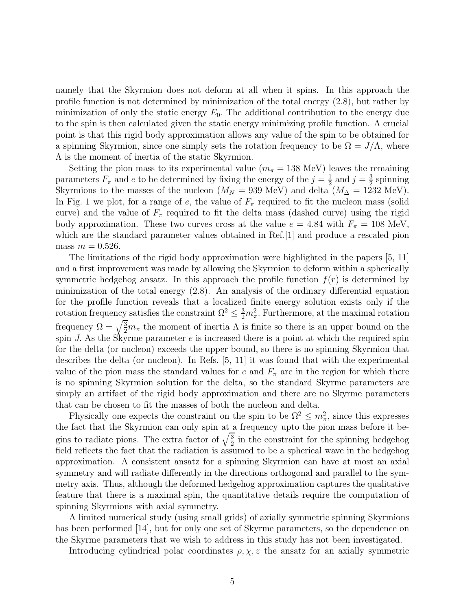namely that the Skyrmion does not deform at all when it spins. In this approach the profile function is not determined by minimization of the total energy (2.8), but rather by minimization of only the static energy  $E_0$ . The additional contribution to the energy due to the spin is then calculated given the static energy minimizing profile function. A crucial point is that this rigid body approximation allows any value of the spin to be obtained for a spinning Skyrmion, since one simply sets the rotation frequency to be  $\Omega = J/\Lambda$ , where Λ is the moment of inertia of the static Skyrmion.

Setting the pion mass to its experimental value ( $m_{\pi} = 138$  MeV) leaves the remaining parameters  $F_{\pi}$  and e to be determined by fixing the energy of the  $j=\frac{1}{2}$  $rac{1}{2}$  and  $j = \frac{3}{2}$  $\frac{3}{2}$  spinning Skyrmions to the masses of the nucleon ( $M_N = 939$  MeV) and delta ( $M_\Delta = 1232$  MeV). In Fig. 1 we plot, for a range of e, the value of  $F_{\pi}$  required to fit the nucleon mass (solid curve) and the value of  $F_{\pi}$  required to fit the delta mass (dashed curve) using the rigid body approximation. These two curves cross at the value  $e = 4.84$  with  $F_{\pi} = 108$  MeV, which are the standard parameter values obtained in Ref. [1] and produce a rescaled pion mass  $m = 0.526$ .

The limitations of the rigid body approximation were highlighted in the papers [5, 11] and a first improvement was made by allowing the Skyrmion to deform within a spherically symmetric hedgehog ansatz. In this approach the profile function  $f(r)$  is determined by minimization of the total energy (2.8). An analysis of the ordinary differential equation for the profile function reveals that a localized finite energy solution exists only if the rotation frequency satisfies the constraint  $\Omega^2 \leq \frac{3}{2} m_{\pi}^2$ . Furthermore, at the maximal rotation frequency  $\Omega = \sqrt{\frac{3}{2}}m_{\pi}$  the moment of inertia  $\Lambda$  is finite so there is an upper bound on the spin J. As the Skyrme parameter  $e$  is increased there is a point at which the required spin for the delta (or nucleon) exceeds the upper bound, so there is no spinning Skyrmion that describes the delta (or nucleon). In Refs. [5, 11] it was found that with the experimental value of the pion mass the standard values for e and  $F_{\pi}$  are in the region for which there is no spinning Skyrmion solution for the delta, so the standard Skyrme parameters are simply an artifact of the rigid body approximation and there are no Skyrme parameters that can be chosen to fit the masses of both the nucleon and delta.

Physically one expects the constraint on the spin to be  $\Omega^2 \leq m_\pi^2$ , since this expresses the fact that the Skyrmion can only spin at  $\underline{\mathbf{a}}$  frequency upto the pion mass before it begins to radiate pions. The extra factor of  $\sqrt{\frac{3}{2}}$  in the constraint for the spinning hedgehog field reflects the fact that the radiation is assumed to be a spherical wave in the hedgehog approximation. A consistent ansatz for a spinning Skyrmion can have at most an axial symmetry and will radiate differently in the directions orthogonal and parallel to the symmetry axis. Thus, although the deformed hedgehog approximation captures the qualitative feature that there is a maximal spin, the quantitative details require the computation of spinning Skyrmions with axial symmetry.

A limited numerical study (using small grids) of axially symmetric spinning Skyrmions has been performed [14], but for only one set of Skyrme parameters, so the dependence on the Skyrme parameters that we wish to address in this study has not been investigated.

Introducing cylindrical polar coordinates  $\rho, \chi, z$  the ansatz for an axially symmetric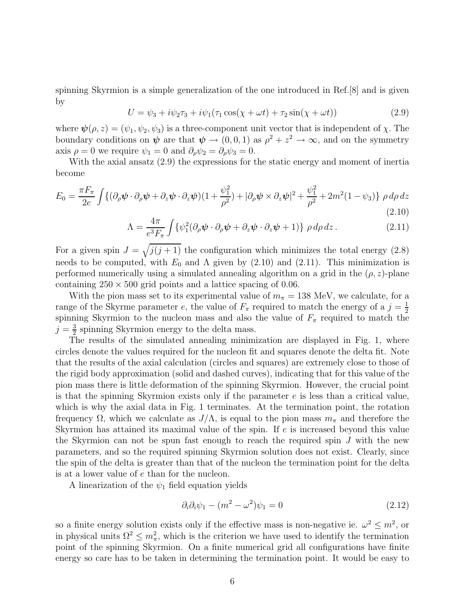spinning Skyrmion is a simple generalization of the one introduced in Ref.[8] and is given by

$$
U = \psi_3 + i\psi_2 \tau_3 + i\psi_1 (\tau_1 \cos(\chi + \omega t) + \tau_2 \sin(\chi + \omega t))
$$
 (2.9)

where  $\psi(\rho, z) = (\psi_1, \psi_2, \psi_3)$  is a three-component unit vector that is independent of  $\chi$ . The boundary conditions on  $\psi$  are that  $\psi \to (0, 0, 1)$  as  $\rho^2 + z^2 \to \infty$ , and on the symmetry axis  $\rho = 0$  we require  $\psi_1 = 0$  and  $\partial_{\rho} \psi_2 = \partial_{\rho} \psi_3 = 0$ .

With the axial ansatz  $(2.9)$  the expressions for the static energy and moment of inertia become

$$
E_0 = \frac{\pi F_\pi}{2e} \int \{ (\partial_\rho \boldsymbol{\psi} \cdot \partial_\rho \boldsymbol{\psi} + \partial_z \boldsymbol{\psi} \cdot \partial_z \boldsymbol{\psi}) (1 + \frac{\psi_1^2}{\rho^2}) + |\partial_\rho \boldsymbol{\psi} \times \partial_z \boldsymbol{\psi}|^2 + \frac{\psi_1^2}{\rho^2} + 2m^2 (1 - \psi_3) \} \rho \, d\rho \, dz
$$
\n(2.10)

$$
\Lambda = \frac{4\pi}{e^3 F_\pi} \int \{ \psi_1^2 (\partial_\rho \psi \cdot \partial_\rho \psi + \partial_z \psi \cdot \partial_z \psi + 1) \} \rho \, d\rho \, dz \,. \tag{2.11}
$$

For a given spin  $J = \sqrt{j(j+1)}$  the configuration which minimizes the total energy (2.8) needs to be computed, with  $E_0$  and  $\Lambda$  given by (2.10) and (2.11). This minimization is performed numerically using a simulated annealing algorithm on a grid in the  $(\rho, z)$ -plane containing  $250 \times 500$  grid points and a lattice spacing of 0.06.

With the pion mass set to its experimental value of  $m_{\pi} = 138$  MeV, we calculate, for a range of the Skyrme parameter e, the value of  $F_{\pi}$  required to match the energy of a  $j=\frac{1}{2}$  $\overline{2}$ spinning Skyrmion to the nucleon mass and also the value of  $F_{\pi}$  required to match the  $j=\frac{3}{2}$  $\frac{3}{2}$  spinning Skyrmion energy to the delta mass.

The results of the simulated annealing minimization are displayed in Fig. 1, where circles denote the values required for the nucleon fit and squares denote the delta fit. Note that the results of the axial calculation (circles and squares) are extremely close to those of the rigid body approximation (solid and dashed curves), indicating that for this value of the pion mass there is little deformation of the spinning Skyrmion. However, the crucial point is that the spinning Skyrmion exists only if the parameter  $e$  is less than a critical value, which is why the axial data in Fig. 1 terminates. At the termination point, the rotation frequency Ω, which we calculate as  $J/\Lambda$ , is equal to the pion mass  $m_\pi$  and therefore the Skyrmion has attained its maximal value of the spin. If e is increased beyond this value the Skyrmion can not be spun fast enough to reach the required spin  $J$  with the new parameters, and so the required spinning Skyrmion solution does not exist. Clearly, since the spin of the delta is greater than that of the nucleon the termination point for the delta is at a lower value of e than for the nucleon.

A linearization of the  $\psi_1$  field equation yields

$$
\partial_i \partial_i \psi_1 - (m^2 - \omega^2)\psi_1 = 0 \tag{2.12}
$$

so a finite energy solution exists only if the effective mass is non-negative ie.  $\omega^2 \le m^2$ , or in physical units  $\Omega^2 \leq m_\pi^2$ , which is the criterion we have used to identify the termination point of the spinning Skyrmion. On a finite numerical grid all configurations have finite energy so care has to be taken in determining the termination point. It would be easy to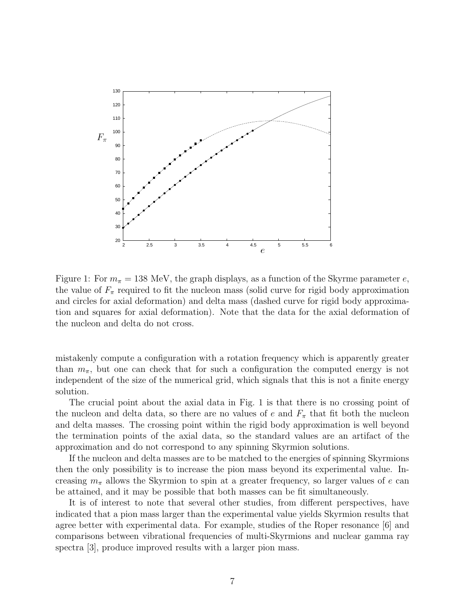

Figure 1: For  $m_{\pi} = 138$  MeV, the graph displays, as a function of the Skyrme parameter e, the value of  $F_{\pi}$  required to fit the nucleon mass (solid curve for rigid body approximation and circles for axial deformation) and delta mass (dashed curve for rigid body approximation and squares for axial deformation). Note that the data for the axial deformation of the nucleon and delta do not cross.

mistakenly compute a configuration with a rotation frequency which is apparently greater than  $m_{\pi}$ , but one can check that for such a configuration the computed energy is not independent of the size of the numerical grid, which signals that this is not a finite energy solution.

The crucial point about the axial data in Fig. 1 is that there is no crossing point of the nucleon and delta data, so there are no values of e and  $F_{\pi}$  that fit both the nucleon and delta masses. The crossing point within the rigid body approximation is well beyond the termination points of the axial data, so the standard values are an artifact of the approximation and do not correspond to any spinning Skyrmion solutions.

If the nucleon and delta masses are to be matched to the energies of spinning Skyrmions then the only possibility is to increase the pion mass beyond its experimental value. Increasing  $m_{\pi}$  allows the Skyrmion to spin at a greater frequency, so larger values of e can be attained, and it may be possible that both masses can be fit simultaneously.

It is of interest to note that several other studies, from different perspectives, have indicated that a pion mass larger than the experimental value yields Skyrmion results that agree better with experimental data. For example, studies of the Roper resonance [6] and comparisons between vibrational frequencies of multi-Skyrmions and nuclear gamma ray spectra [3], produce improved results with a larger pion mass.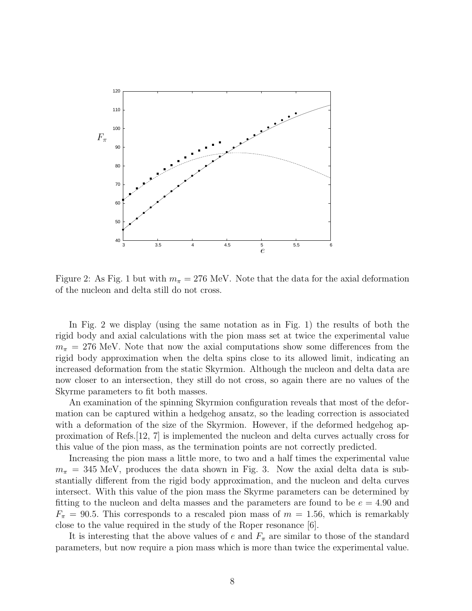

Figure 2: As Fig. 1 but with  $m_{\pi} = 276$  MeV. Note that the data for the axial deformation of the nucleon and delta still do not cross.

In Fig. 2 we display (using the same notation as in Fig. 1) the results of both the rigid body and axial calculations with the pion mass set at twice the experimental value  $m_{\pi}$  = 276 MeV. Note that now the axial computations show some differences from the rigid body approximation when the delta spins close to its allowed limit, indicating an increased deformation from the static Skyrmion. Although the nucleon and delta data are now closer to an intersection, they still do not cross, so again there are no values of the Skyrme parameters to fit both masses.

An examination of the spinning Skyrmion configuration reveals that most of the deformation can be captured within a hedgehog ansatz, so the leading correction is associated with a deformation of the size of the Skyrmion. However, if the deformed hedgehog approximation of Refs.[12, 7] is implemented the nucleon and delta curves actually cross for this value of the pion mass, as the termination points are not correctly predicted.

Increasing the pion mass a little more, to two and a half times the experimental value  $m_{\pi}$  = 345 MeV, produces the data shown in Fig. 3. Now the axial delta data is substantially different from the rigid body approximation, and the nucleon and delta curves intersect. With this value of the pion mass the Skyrme parameters can be determined by fitting to the nucleon and delta masses and the parameters are found to be  $e = 4.90$  and  $F_{\pi} = 90.5$ . This corresponds to a rescaled pion mass of  $m = 1.56$ , which is remarkably close to the value required in the study of the Roper resonance [6].

It is interesting that the above values of e and  $F_{\pi}$  are similar to those of the standard parameters, but now require a pion mass which is more than twice the experimental value.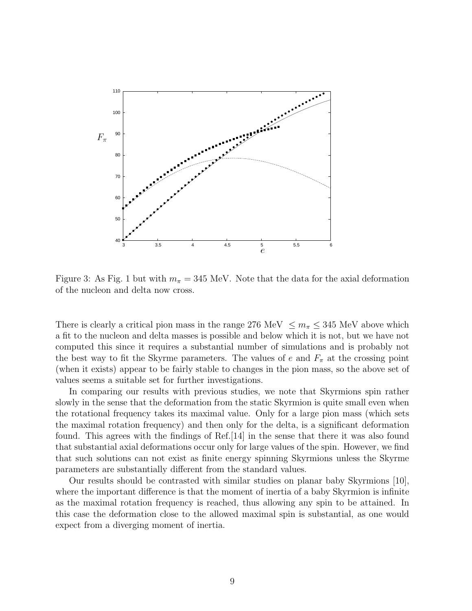

Figure 3: As Fig. 1 but with  $m_{\pi} = 345$  MeV. Note that the data for the axial deformation of the nucleon and delta now cross.

There is clearly a critical pion mass in the range 276 MeV  $\leq m_{\pi} \leq 345$  MeV above which a fit to the nucleon and delta masses is possible and below which it is not, but we have not computed this since it requires a substantial number of simulations and is probably not the best way to fit the Skyrme parameters. The values of e and  $F_{\pi}$  at the crossing point (when it exists) appear to be fairly stable to changes in the pion mass, so the above set of values seems a suitable set for further investigations.

In comparing our results with previous studies, we note that Skyrmions spin rather slowly in the sense that the deformation from the static Skyrmion is quite small even when the rotational frequency takes its maximal value. Only for a large pion mass (which sets the maximal rotation frequency) and then only for the delta, is a significant deformation found. This agrees with the findings of Ref.[14] in the sense that there it was also found that substantial axial deformations occur only for large values of the spin. However, we find that such solutions can not exist as finite energy spinning Skyrmions unless the Skyrme parameters are substantially different from the standard values.

Our results should be contrasted with similar studies on planar baby Skyrmions [10], where the important difference is that the moment of inertia of a baby Skyrmion is infinite as the maximal rotation frequency is reached, thus allowing any spin to be attained. In this case the deformation close to the allowed maximal spin is substantial, as one would expect from a diverging moment of inertia.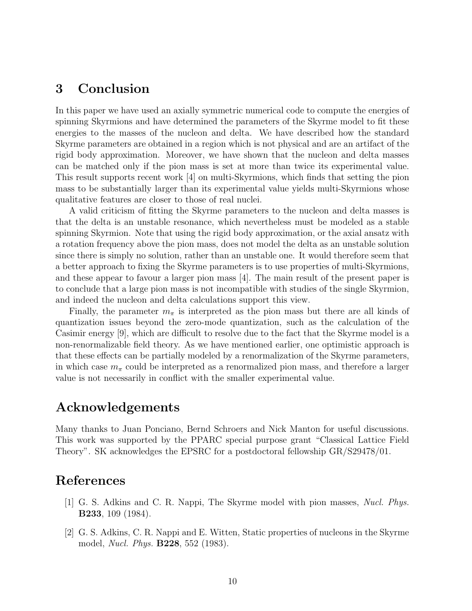## 3 Conclusion

In this paper we have used an axially symmetric numerical code to compute the energies of spinning Skyrmions and have determined the parameters of the Skyrme model to fit these energies to the masses of the nucleon and delta. We have described how the standard Skyrme parameters are obtained in a region which is not physical and are an artifact of the rigid body approximation. Moreover, we have shown that the nucleon and delta masses can be matched only if the pion mass is set at more than twice its experimental value. This result supports recent work [4] on multi-Skyrmions, which finds that setting the pion mass to be substantially larger than its experimental value yields multi-Skyrmions whose qualitative features are closer to those of real nuclei.

A valid criticism of fitting the Skyrme parameters to the nucleon and delta masses is that the delta is an unstable resonance, which nevertheless must be modeled as a stable spinning Skyrmion. Note that using the rigid body approximation, or the axial ansatz with a rotation frequency above the pion mass, does not model the delta as an unstable solution since there is simply no solution, rather than an unstable one. It would therefore seem that a better approach to fixing the Skyrme parameters is to use properties of multi-Skyrmions, and these appear to favour a larger pion mass [4]. The main result of the present paper is to conclude that a large pion mass is not incompatible with studies of the single Skyrmion, and indeed the nucleon and delta calculations support this view.

Finally, the parameter  $m_{\pi}$  is interpreted as the pion mass but there are all kinds of quantization issues beyond the zero-mode quantization, such as the calculation of the Casimir energy [9], which are difficult to resolve due to the fact that the Skyrme model is a non-renormalizable field theory. As we have mentioned earlier, one optimistic approach is that these effects can be partially modeled by a renormalization of the Skyrme parameters, in which case  $m_{\pi}$  could be interpreted as a renormalized pion mass, and therefore a larger value is not necessarily in conflict with the smaller experimental value.

## Acknowledgements

Many thanks to Juan Ponciano, Bernd Schroers and Nick Manton for useful discussions. This work was supported by the PPARC special purpose grant "Classical Lattice Field Theory". SK acknowledges the EPSRC for a postdoctoral fellowship GR/S29478/01.

## References

- [1] G. S. Adkins and C. R. Nappi, The Skyrme model with pion masses, Nucl. Phys. B233, 109 (1984).
- [2] G. S. Adkins, C. R. Nappi and E. Witten, Static properties of nucleons in the Skyrme model, Nucl. Phys. B228, 552 (1983).